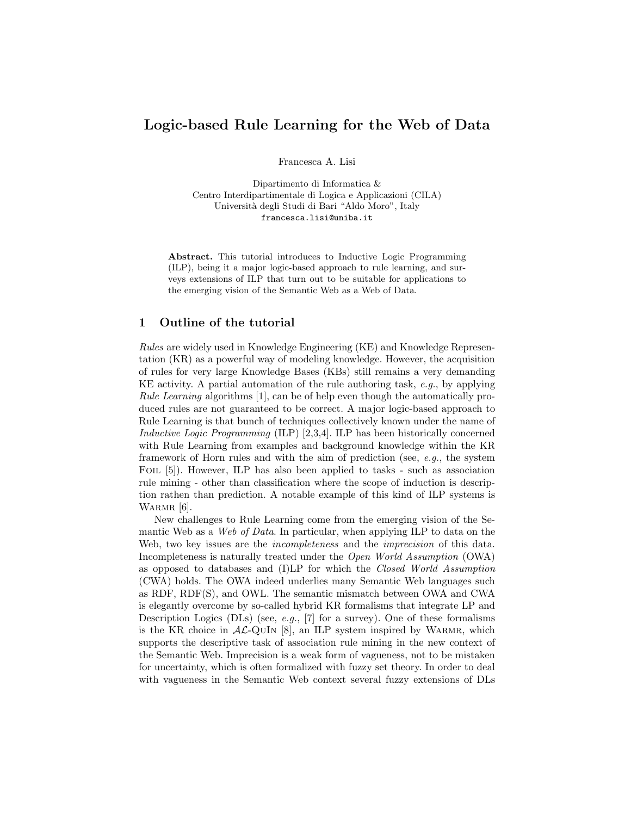## Logic-based Rule Learning for the Web of Data

Francesca A. Lisi

Dipartimento di Informatica & Centro Interdipartimentale di Logica e Applicazioni (CILA) Universit`a degli Studi di Bari "Aldo Moro", Italy francesca.lisi@uniba.it

Abstract. This tutorial introduces to Inductive Logic Programming (ILP), being it a major logic-based approach to rule learning, and surveys extensions of ILP that turn out to be suitable for applications to the emerging vision of the Semantic Web as a Web of Data.

## 1 Outline of the tutorial

Rules are widely used in Knowledge Engineering (KE) and Knowledge Representation (KR) as a powerful way of modeling knowledge. However, the acquisition of rules for very large Knowledge Bases (KBs) still remains a very demanding KE activity. A partial automation of the rule authoring task, e.g., by applying Rule Learning algorithms [1], can be of help even though the automatically produced rules are not guaranteed to be correct. A major logic-based approach to Rule Learning is that bunch of techniques collectively known under the name of Inductive Logic Programming (ILP) [2,3,4]. ILP has been historically concerned with Rule Learning from examples and background knowledge within the KR framework of Horn rules and with the aim of prediction (see,  $e.g.,$  the system FOIL [5]). However, ILP has also been applied to tasks - such as association rule mining - other than classification where the scope of induction is description rathen than prediction. A notable example of this kind of ILP systems is WARMR [6].

New challenges to Rule Learning come from the emerging vision of the Semantic Web as a Web of Data. In particular, when applying ILP to data on the Web, two key issues are the *incompleteness* and the *imprecision* of this data. Incompleteness is naturally treated under the Open World Assumption (OWA) as opposed to databases and (I)LP for which the Closed World Assumption (CWA) holds. The OWA indeed underlies many Semantic Web languages such as RDF, RDF(S), and OWL. The semantic mismatch between OWA and CWA is elegantly overcome by so-called hybrid KR formalisms that integrate LP and Description Logics (DLs) (see, e.g., [7] for a survey). One of these formalisms is the KR choice in  $AL$ -QUIN [8], an ILP system inspired by WARMR, which supports the descriptive task of association rule mining in the new context of the Semantic Web. Imprecision is a weak form of vagueness, not to be mistaken for uncertainty, which is often formalized with fuzzy set theory. In order to deal with vagueness in the Semantic Web context several fuzzy extensions of DLs